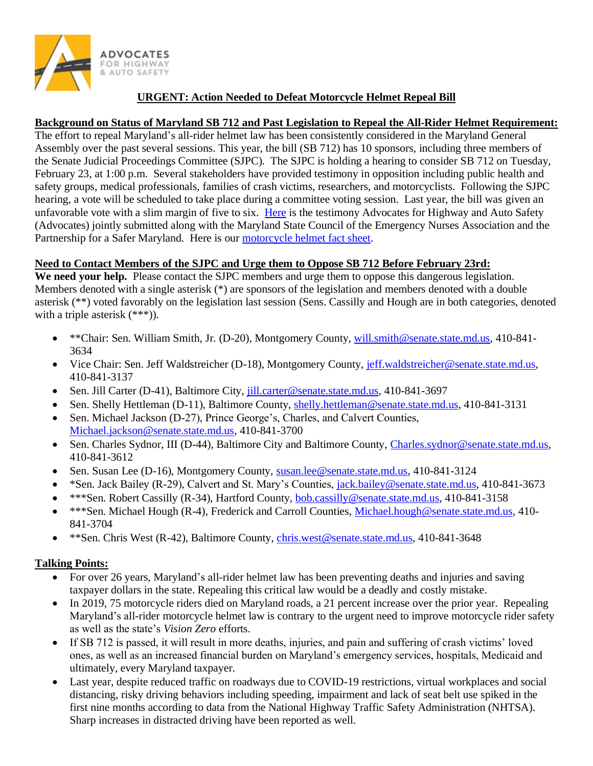

## **URGENT: Action Needed to Defeat Motorcycle Helmet Repeal Bill**

## **Background on Status of Maryland SB 712 and Past Legislation to Repeal the All-Rider Helmet Requirement:**

The effort to repeal Maryland's all-rider helmet law has been consistently considered in the Maryland General Assembly over the past several sessions. This year, the bill (SB 712) has 10 sponsors, including three members of the Senate Judicial Proceedings Committee (SJPC). The SJPC is holding a hearing to consider SB 712 on Tuesday, February 23, at 1:00 p.m. Several stakeholders have provided testimony in opposition including public health and safety groups, medical professionals, families of crash victims, researchers, and motorcyclists. Following the SJPC hearing, a vote will be scheduled to take place during a committee voting session. Last year, the bill was given an unfavorable vote with a slim margin of five to six. [Here](https://saferoads.org/wp-content/uploads/2021/02/Statement-in-Opposition-to-MD-S-712-Helmets_Final-for-Hearing-2-23-21.pdf) is the testimony Advocates for Highway and Auto Safety (Advocates) jointly submitted along with the Maryland State Council of the Emergency Nurses Association and the Partnership for a Safer Maryland. Here is our [motorcycle helmet fact sheet.](https://saferoads.org/wp-content/uploads/2021/02/Motorcycle-Helmet-Fact-Sheet-January-2021-FINAL.pdf)

## **Need to Contact Members of the SJPC and Urge them to Oppose SB 712 Before February 23rd:**

**We need your help.** Please contact the SJPC members and urge them to oppose this dangerous legislation. Members denoted with a single asterisk (\*) are sponsors of the legislation and members denoted with a double asterisk (\*\*) voted favorably on the legislation last session (Sens. Cassilly and Hough are in both categories, denoted with a triple asterisk  $(***)$ ).

- \*\*Chair: Sen. William Smith, Jr. (D-20), Montgomery County, [will.smith@senate.state.md.us,](mailto:will.smith@senate.state.md.us) 410-841- 3634
- Vice Chair: Sen. Jeff Waldstreicher (D-18), Montgomery County, [jeff.waldstreicher@senate.state.md.us,](mailto:jeff.waldstreicher@senate.state.md.us) 410-841-3137
- Sen. Jill Carter (D-41), Baltimore City, [jill.carter@senate.state.md.us,](mailto:jill.carter@senate.state.md.us) 410-841-3697
- Sen. Shelly Hettleman (D-11), Baltimore County, [shelly.hettleman@senate.state.md.us,](mailto:shelly.hettleman@senate.state.md.us) 410-841-3131
- Sen. Michael Jackson (D-27), Prince George's, Charles, and Calvert Counties, [Michael.jackson@senate.state.md.us,](mailto:Michael.jackson@senate.state.md.us) 410-841-3700
- Sen. Charles Sydnor, III (D-44), Baltimore City and Baltimore County, [Charles.sydnor@senate.state.md.us,](mailto:Charles.sydnor@senate.state.md.us) 410-841-3612
- Sen. Susan Lee (D-16), Montgomery County, [susan.lee@senate.state.md.us,](mailto:susan.lee@senate.state.md.us) 410-841-3124
- \*Sen. Jack Bailey (R-29), Calvert and St. Mary's Counties, [jack.bailey@senate.state.md.us,](mailto:jack.bailey@senate.state.md.us) 410-841-3673
- \*\*\*Sen. Robert Cassilly (R-34), Hartford County, [bob.cassilly@senate.state.md.us,](mailto:bob.cassilly@senate.state.md.us) 410-841-3158
- \*\*\*Sen. Michael Hough (R-4), Frederick and Carroll Counties, [Michael.hough@senate.state.md.us,](mailto:Michael.hough@senate.state.md.us) 410- 841-3704
- \*\*Sen. Chris West (R-42), Baltimore County, [chris.west@senate.state.md.us,](mailto:chris.west@senate.state.md.us) 410-841-3648

## **Talking Points:**

- For over 26 years, Maryland's all-rider helmet law has been preventing deaths and injuries and saving taxpayer dollars in the state. Repealing this critical law would be a deadly and costly mistake.
- In 2019, 75 motorcycle riders died on Maryland roads, a 21 percent increase over the prior year. Repealing Maryland's all-rider motorcycle helmet law is contrary to the urgent need to improve motorcycle rider safety as well as the state's *Vision Zero* efforts.
- If SB 712 is passed, it will result in more deaths, injuries, and pain and suffering of crash victims' loved ones, as well as an increased financial burden on Maryland's emergency services, hospitals, Medicaid and ultimately, every Maryland taxpayer.
- Last year, despite reduced traffic on roadways due to COVID-19 restrictions, virtual workplaces and social distancing, risky driving behaviors including speeding, impairment and lack of seat belt use spiked in the first nine months according to data from the National Highway Traffic Safety Administration (NHTSA). Sharp increases in distracted driving have been reported as well.